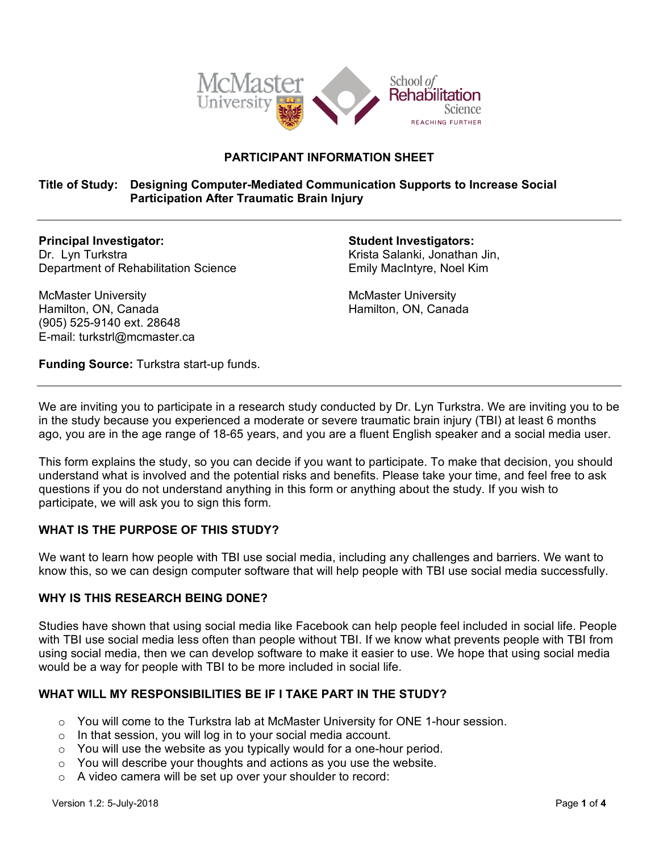

# **PARTICIPANT INFORMATION SHEET**

# **Title of Study: Designing Computer-Mediated Communication Supports to Increase Social Participation After Traumatic Brain Injury**

**Principal Investigator:**  Dr. Lyn Turkstra Department of Rehabilitation Science **Student Investigators:**

Krista Salanki, Jonathan Jin, Emily MacIntyre, Noel Kim

McMaster University Hamilton, ON, Canada

McMaster University Hamilton, ON, Canada (905) 525-9140 ext. 28648 E-mail: turkstrl@mcmaster.ca

**Funding Source:** Turkstra start-up funds.

We are inviting you to participate in a research study conducted by Dr. Lyn Turkstra. We are inviting you to be in the study because you experienced a moderate or severe traumatic brain injury (TBI) at least 6 months ago, you are in the age range of 18-65 years, and you are a fluent English speaker and a social media user.

This form explains the study, so you can decide if you want to participate. To make that decision, you should understand what is involved and the potential risks and benefits. Please take your time, and feel free to ask questions if you do not understand anything in this form or anything about the study. If you wish to participate, we will ask you to sign this form.

# **WHAT IS THE PURPOSE OF THIS STUDY?**

We want to learn how people with TBI use social media, including any challenges and barriers. We want to know this, so we can design computer software that will help people with TBI use social media successfully.

## **WHY IS THIS RESEARCH BEING DONE?**

Studies have shown that using social media like Facebook can help people feel included in social life. People with TBI use social media less often than people without TBI. If we know what prevents people with TBI from using social media, then we can develop software to make it easier to use. We hope that using social media would be a way for people with TBI to be more included in social life.

# **WHAT WILL MY RESPONSIBILITIES BE IF I TAKE PART IN THE STUDY?**

- $\circ$  You will come to the Turkstra lab at McMaster University for ONE 1-hour session.
- o In that session, you will log in to your social media account.
- $\circ$  You will use the website as you typically would for a one-hour period.
- $\circ$  You will describe your thoughts and actions as you use the website.
- o A video camera will be set up over your shoulder to record: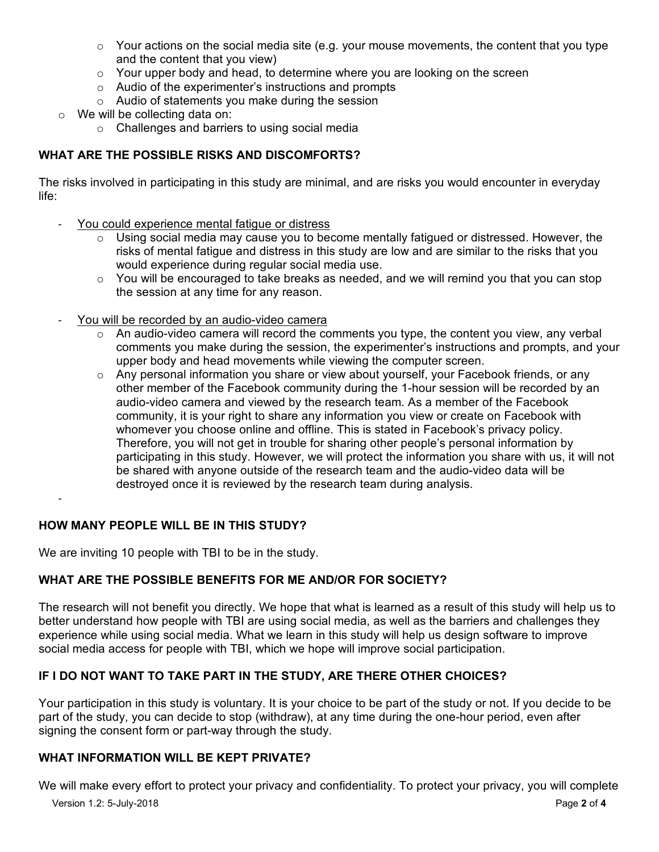- $\circ$  Your actions on the social media site (e.g. your mouse movements, the content that you type and the content that you view)
- o Your upper body and head, to determine where you are looking on the screen
- o Audio of the experimenter's instructions and prompts
- o Audio of statements you make during the session
- o We will be collecting data on:
	- o Challenges and barriers to using social media

# **WHAT ARE THE POSSIBLE RISKS AND DISCOMFORTS?**

The risks involved in participating in this study are minimal, and are risks you would encounter in everyday life:

- You could experience mental fatigue or distress
	- $\circ$  Using social media may cause you to become mentally fatigued or distressed. However, the risks of mental fatigue and distress in this study are low and are similar to the risks that you would experience during regular social media use.
	- $\circ$  You will be encouraged to take breaks as needed, and we will remind you that you can stop the session at any time for any reason.
- You will be recorded by an audio-video camera
	- $\circ$  An audio-video camera will record the comments you type, the content you view, any verbal comments you make during the session, the experimenter's instructions and prompts, and your upper body and head movements while viewing the computer screen.
	- $\circ$  Any personal information you share or view about yourself, your Facebook friends, or any other member of the Facebook community during the 1-hour session will be recorded by an audio-video camera and viewed by the research team. As a member of the Facebook community, it is your right to share any information you view or create on Facebook with whomever you choose online and offline. This is stated in Facebook's privacy policy. Therefore, you will not get in trouble for sharing other people's personal information by participating in this study. However, we will protect the information you share with us, it will not be shared with anyone outside of the research team and the audio-video data will be destroyed once it is reviewed by the research team during analysis.

# **HOW MANY PEOPLE WILL BE IN THIS STUDY?**

We are inviting 10 people with TBI to be in the study.

# **WHAT ARE THE POSSIBLE BENEFITS FOR ME AND/OR FOR SOCIETY?**

The research will not benefit you directly. We hope that what is learned as a result of this study will help us to better understand how people with TBI are using social media, as well as the barriers and challenges they experience while using social media. What we learn in this study will help us design software to improve social media access for people with TBI, which we hope will improve social participation.

# **IF I DO NOT WANT TO TAKE PART IN THE STUDY, ARE THERE OTHER CHOICES?**

Your participation in this study is voluntary. It is your choice to be part of the study or not. If you decide to be part of the study, you can decide to stop (withdraw), at any time during the one-hour period, even after signing the consent form or part-way through the study.

## **WHAT INFORMATION WILL BE KEPT PRIVATE?**

We will make every effort to protect your privacy and confidentiality. To protect your privacy, you will complete

-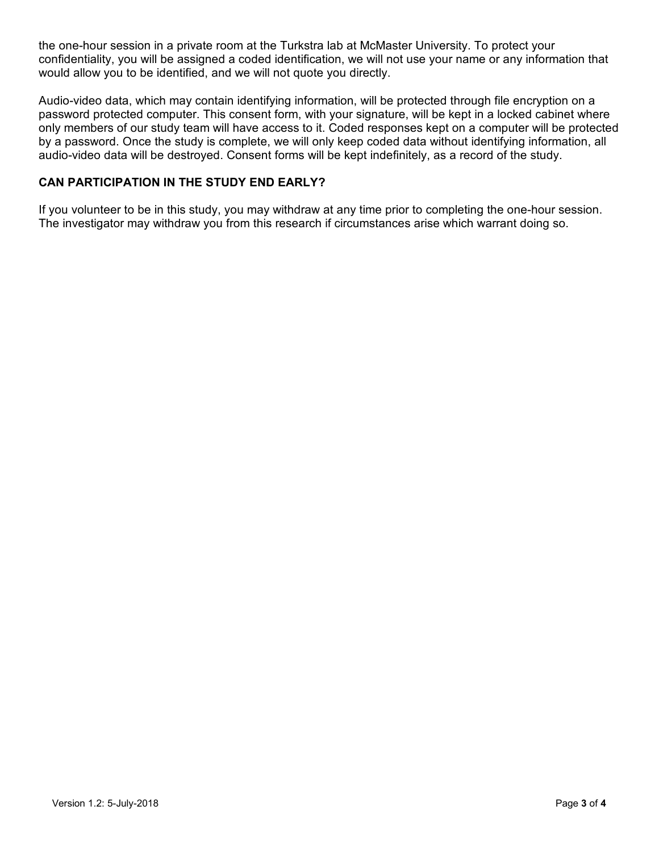the one-hour session in a private room at the Turkstra lab at McMaster University. To protect your confidentiality, you will be assigned a coded identification, we will not use your name or any information that would allow you to be identified, and we will not quote you directly.

Audio-video data, which may contain identifying information, will be protected through file encryption on a password protected computer. This consent form, with your signature, will be kept in a locked cabinet where only members of our study team will have access to it. Coded responses kept on a computer will be protected by a password. Once the study is complete, we will only keep coded data without identifying information, all audio-video data will be destroyed. Consent forms will be kept indefinitely, as a record of the study.

# **CAN PARTICIPATION IN THE STUDY END EARLY?**

If you volunteer to be in this study, you may withdraw at any time prior to completing the one-hour session. The investigator may withdraw you from this research if circumstances arise which warrant doing so.